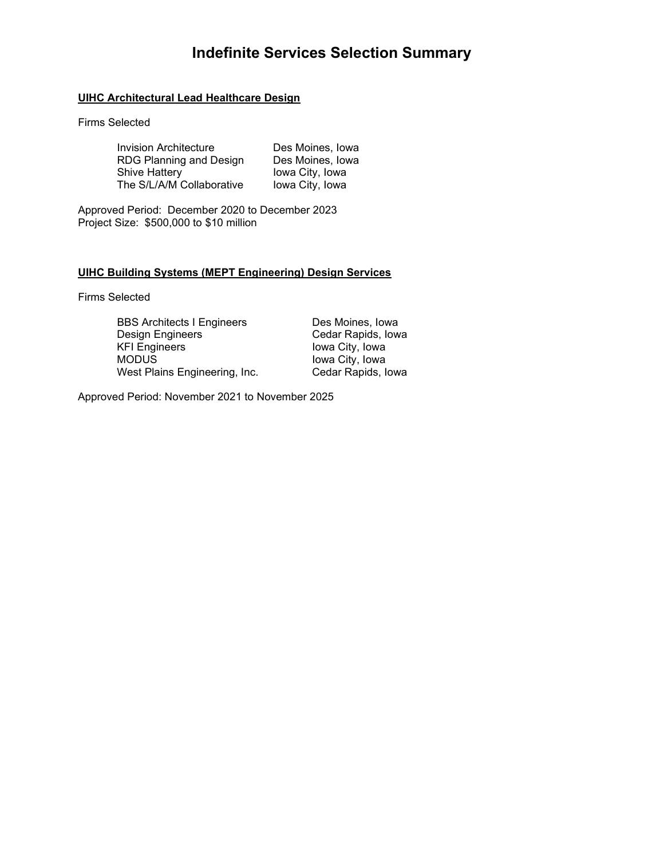# **Indefinite Services Selection Summary**

# **UIHC Architectural Lead Healthcare Design**

## Firms Selected

| <b>Invision Architecture</b> | Des Moines, Iowa |
|------------------------------|------------------|
| RDG Planning and Design      | Des Moines, Iowa |
| <b>Shive Hattery</b>         | lowa City, Iowa  |
| The S/L/A/M Collaborative    | lowa City, Iowa  |

Approved Period: December 2020 to December 2023 Project Size: \$500,000 to \$10 million

## **UIHC Building Systems (MEPT Engineering) Design Services**

Firms Selected

BBS Architects I Engineers Des Moines, Iowa<br>Design Engineers Cedar Rapids, Iow Design Engineers<br>
KFI Engineers<br>
KFI Engineers<br>
Cedar Rapids, Iowa<br>
City, Iowa KFI Engineers **In the UP Iowa City, Iowa**<br>Iowa City, Iowa West Plains Engineering, Inc.

Iowa City, Iowa<br>Cedar Rapids, Iowa

Approved Period: November 2021 to November 2025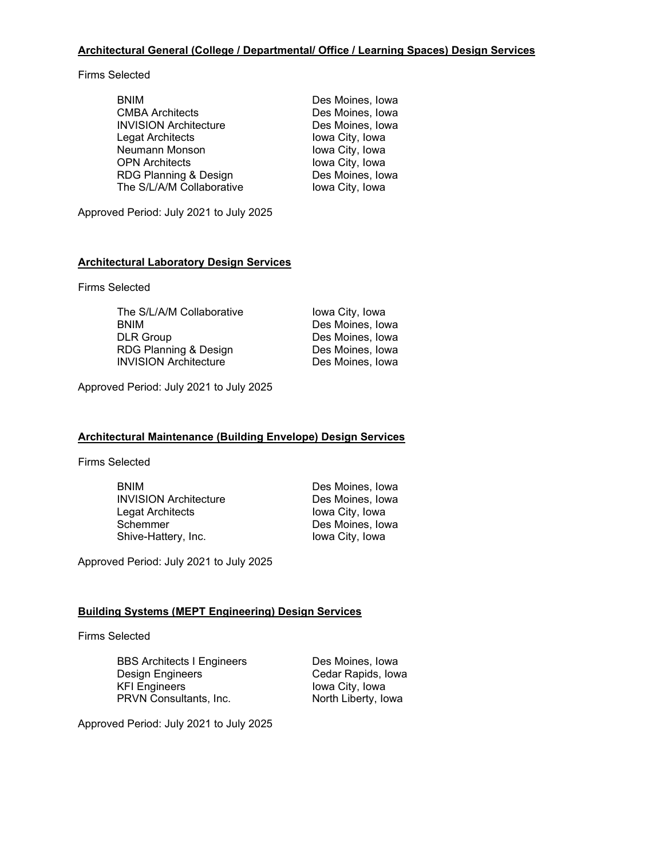# **Architectural General (College / Departmental/ Office / Learning Spaces) Design Services**

Firms Selected

| <b>BNIM</b>                  | Des Moines, Iowa |
|------------------------------|------------------|
| <b>CMBA Architects</b>       | Des Moines, Iowa |
| <b>INVISION Architecture</b> | Des Moines, Iowa |
| Legat Architects             | Iowa City, Iowa  |
| Neumann Monson               | Iowa City, Iowa  |
| <b>OPN Architects</b>        | Iowa City, Iowa  |
| RDG Planning & Design        | Des Moines, Iowa |
| The S/L/A/M Collaborative    | lowa City, Iowa  |

Approved Period: July 2021 to July 2025

## **Architectural Laboratory Design Services**

Firms Selected

| The S/L/A/M Collaborative    | Iowa City, Iowa  |
|------------------------------|------------------|
| <b>BNIM</b>                  | Des Moines, Iowa |
| <b>DLR Group</b>             | Des Moines, Iowa |
| RDG Planning & Design        | Des Moines, Iowa |
| <b>INVISION Architecture</b> | Des Moines, Iowa |

Approved Period: July 2021 to July 2025

#### **Architectural Maintenance (Building Envelope) Design Services**

Firms Selected

| <b>BNIM</b>                  |
|------------------------------|
| <b>INVISION Architecture</b> |
| Legat Architects             |
| Schemmer                     |
| Shive-Hattery, Inc.          |

Des Moines, Iowa Des Moines, Iowa Iowa City, Iowa Des Moines, Iowa Iowa City, Iowa

Approved Period: July 2021 to July 2025

## **Building Systems (MEPT Engineering) Design Services**

Firms Selected

BBS Architects I Engineers Des Moines, Iowa<br>Design Engineers Cedar Rapids, Iow Design Engineers<br>
KFI Engineers<br>
KFI Engineers<br>
Cedar Rapids, Iowa<br>
City, Iowa PRVN Consultants, Inc.

Iowa City, Iowa<br>North Liberty, Iowa

Approved Period: July 2021 to July 2025